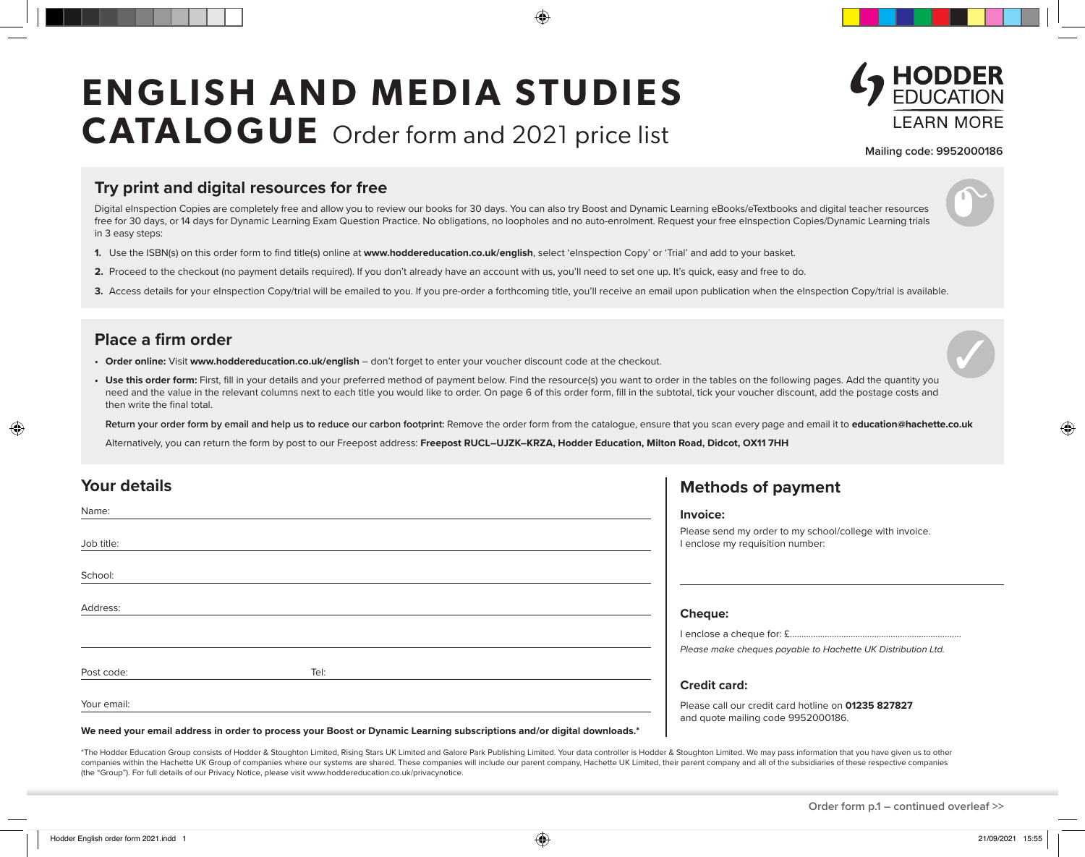# **ENGLISH AND MEDIA STUDIES CATALOGUE** Order form and 2021 price list



**Mailing code: 9952000186**

#### **Try print and digital resources for free**

Digital eInspection Copies are completely free and allow you to review our books for 30 days. You can also try Boost and Dynamic Learning eBooks/eTextbooks and digital teacher resources free for 30 days, or 14 days for Dynamic Learning Exam Question Practice. No obligations, no loopholes and no auto-enrolment. Request your free eInspection Copies/Dynamic Learning trials in 3 easy steps:

- **1.** Use the ISBN(s) on this order form to find title(s) online at **www.hoddereducation.co.uk/english**, select 'eInspection Copy' or 'Trial' and add to your basket.
- **2.** Proceed to the checkout (no payment details required). If you don't already have an account with us, you'll need to set one up. It's quick, easy and free to do.
- 3. Access details for your eInspection Copy/trial will be emailed to you. If you pre-order a forthcoming title, you'll receive an email upon publication when the eInspection Copy/trial is available.

#### **Place a firm order**

- **• Order online:** Visit **www.hoddereducation.co.uk/english** don't forget to enter your voucher discount code at the checkout.
- Use this order form: First, fill in your details and your preferred method of payment below. Find the resource(s) you want to order in the tables on the following pages. Add the quantity you need and the value in the relevant columns next to each title you would like to order. On page 6 of this order form, fill in the subtotal, tick your voucher discount, add the postage costs and then write the final total.

**Return your order form by email and help us to reduce our carbon footprint:** Remove the order form from the catalogue, ensure that you scan every page and email it to **education@hachette.co.uk**

Alternatively, you can return the form by post to our Freepost address: Freepost RUCL-UJZK-KRZA, Hodder Education, Milton Road, Didcot, OX11 7HH

| <b>Your details</b> |                                                                                                                        | <b>Methods of payment</b>                                                                   |
|---------------------|------------------------------------------------------------------------------------------------------------------------|---------------------------------------------------------------------------------------------|
| Name:               |                                                                                                                        | Invoice:                                                                                    |
| Job title:          |                                                                                                                        | Please send my order to my school/college with invoice.<br>I enclose my requisition number: |
| School:             |                                                                                                                        |                                                                                             |
| Address:            |                                                                                                                        | <b>Cheque:</b>                                                                              |
|                     |                                                                                                                        |                                                                                             |
|                     |                                                                                                                        | Please make cheques payable to Hachette UK Distribution Ltd.                                |
| Post code:          | Tel:                                                                                                                   |                                                                                             |
|                     |                                                                                                                        | <b>Credit card:</b>                                                                         |
| Your email:         |                                                                                                                        | Please call our credit card hotline on 01235 827827<br>and quote mailing code 9952000186.   |
|                     | We need your email address in order to process your Boost or Dynamic Learning subscriptions and/or digital downloads.* |                                                                                             |

\*The Hodder Education Group consists of Hodder & Stoughton Limited, Rising Stars UK Limited and Galore Park Publishing Limited. Your data controller is Hodder & Stoughton Limited. We may pass information that you have give companies within the Hachette UK Group of companies where our systems are shared. These companies will include our parent company, Hachette UK Limited, their parent company and all of the subsidiaries of these respective c (the "Group"). For full details of our Privacy Notice, please visit www.hoddereducation.co.uk/privacynotice.

**Order form p.1 – continued overleaf >>**

◈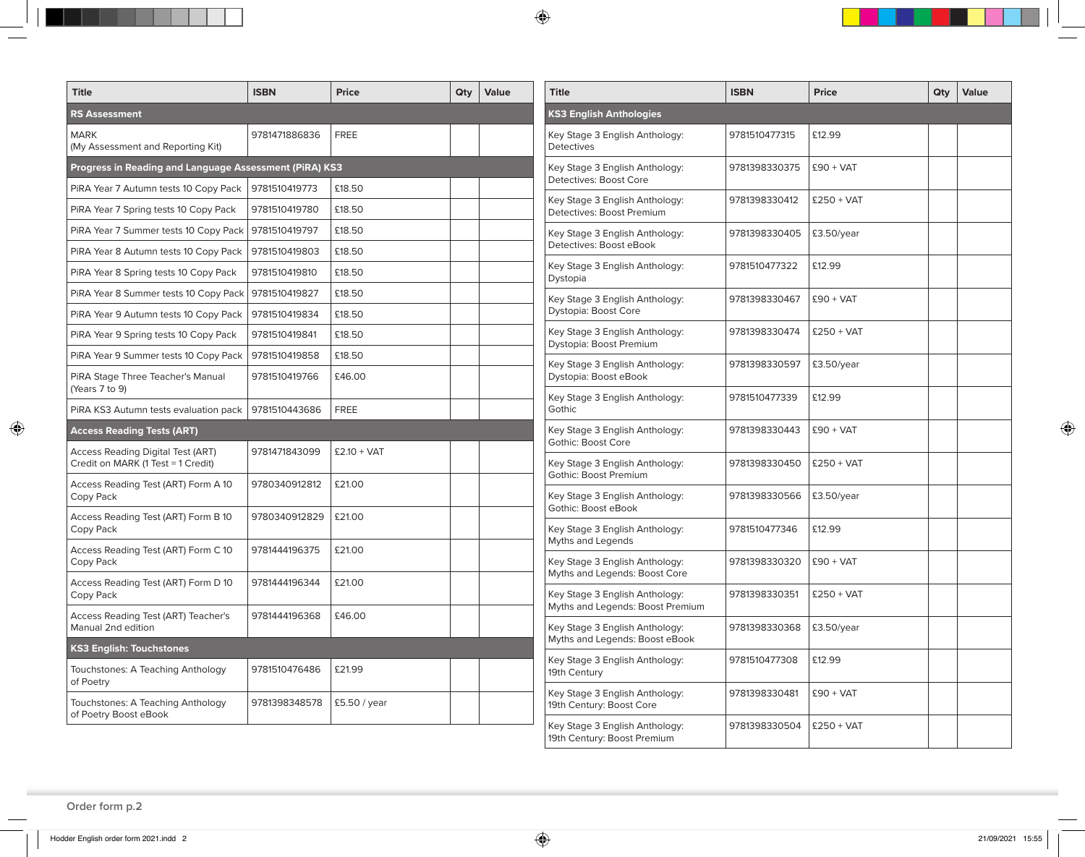| <b>Title</b>                                                                   | <b>ISBN</b>   | <b>Price</b>  | Qty | Value<br><b>Title</b> |                                                                  | <b>ISBN</b>   | <b>Price</b> |  |
|--------------------------------------------------------------------------------|---------------|---------------|-----|-----------------------|------------------------------------------------------------------|---------------|--------------|--|
| <b>RS Assessment</b>                                                           |               |               |     |                       | <b>KS3 English Anthologies</b>                                   |               |              |  |
| <b>MARK</b><br>(My Assessment and Reporting Kit)                               | 9781471886836 | <b>FREE</b>   |     |                       | Key Stage 3 English Anthology:<br><b>Detectives</b>              | 9781510477315 | £12.99       |  |
| Progress in Reading and Language Assessment (PiRA) KS3                         |               |               |     |                       | Key Stage 3 English Anthology:                                   | 9781398330375 | $£90 + VAT$  |  |
| PiRA Year 7 Autumn tests 10 Copy Pack                                          | 9781510419773 | £18.50        |     |                       | Detectives: Boost Core                                           |               |              |  |
| PiRA Year 7 Spring tests 10 Copy Pack                                          | 9781510419780 | £18.50        |     |                       | Key Stage 3 English Anthology:<br>Detectives: Boost Premium      | 9781398330412 | $£250 + VAT$ |  |
| PIRA Year 7 Summer tests 10 Copy Pack                                          | 9781510419797 | £18.50        |     |                       | Key Stage 3 English Anthology:                                   | 9781398330405 | £3.50/year   |  |
| PIRA Year 8 Autumn tests 10 Copy Pack                                          | 9781510419803 | £18.50        |     |                       | Detectives: Boost eBook                                          |               |              |  |
| PiRA Year 8 Spring tests 10 Copy Pack                                          | 9781510419810 | £18.50        |     |                       | Key Stage 3 English Anthology:<br>Dystopia                       | 9781510477322 | £12.99       |  |
| PiRA Year 8 Summer tests 10 Copy Pack   9781510419827                          |               | £18.50        |     |                       | Key Stage 3 English Anthology:                                   | 9781398330467 | $£90 + VAT$  |  |
| PIRA Year 9 Autumn tests 10 Copy Pack                                          | 9781510419834 | £18.50        |     |                       | Dystopia: Boost Core                                             |               |              |  |
| PIRA Year 9 Spring tests 10 Copy Pack                                          | 9781510419841 | £18.50        |     |                       | Key Stage 3 English Anthology:<br>Dystopia: Boost Premium        | 9781398330474 | $£250 + VAT$ |  |
| PIRA Year 9 Summer tests 10 Copy Pack                                          | 9781510419858 | £18.50        |     |                       | Key Stage 3 English Anthology:                                   | 9781398330597 | £3.50/year   |  |
| PiRA Stage Three Teacher's Manual<br>(Years 7 to 9)                            | 9781510419766 | £46.00        |     |                       | Dystopia: Boost eBook                                            |               |              |  |
| PIRA KS3 Autumn tests evaluation pack                                          | 9781510443686 | <b>FREE</b>   |     |                       | Key Stage 3 English Anthology:<br>Gothic                         | 9781510477339 | £12.99       |  |
| <b>Access Reading Tests (ART)</b>                                              |               |               |     |                       | Key Stage 3 English Anthology:                                   | 9781398330443 | $£90 + VAT$  |  |
| <b>Access Reading Digital Test (ART)</b><br>Credit on MARK (1 Test = 1 Credit) | 9781471843099 | $£2.10 + VAT$ |     |                       | Gothic: Boost Core<br>Key Stage 3 English Anthology:             | 9781398330450 | $£250 + VAT$ |  |
| Access Reading Test (ART) Form A 10                                            | 9780340912812 | £21.00        |     |                       | <b>Gothic: Boost Premium</b>                                     |               |              |  |
| Copy Pack                                                                      |               |               |     |                       | Key Stage 3 English Anthology:<br>Gothic: Boost eBook            | 9781398330566 | £3.50/year   |  |
| Access Reading Test (ART) Form B 10<br>Copy Pack                               | 9780340912829 | £21.00        |     |                       | Key Stage 3 English Anthology:                                   | 9781510477346 | £12.99       |  |
| Access Reading Test (ART) Form C 10                                            | 9781444196375 | £21.00        |     |                       | Myths and Legends                                                |               |              |  |
| Copy Pack                                                                      |               |               |     |                       | Key Stage 3 English Anthology:<br>Myths and Legends: Boost Core  | 9781398330320 | $£90 + VAT$  |  |
| Access Reading Test (ART) Form D 10<br>Copy Pack                               | 9781444196344 | £21.00        |     |                       | Key Stage 3 English Anthology:                                   | 9781398330351 | $£250 + VAT$ |  |
| <b>Access Reading Test (ART) Teacher's</b>                                     | 9781444196368 | £46.00        |     |                       | Myths and Legends: Boost Premium                                 |               |              |  |
| Manual 2nd edition                                                             |               |               |     |                       | Key Stage 3 English Anthology:<br>Myths and Legends: Boost eBook | 9781398330368 | £3.50/year   |  |
| <b>KS3 English: Touchstones</b>                                                |               |               |     |                       | Key Stage 3 English Anthology:                                   | 9781510477308 | £12.99       |  |
| Touchstones: A Teaching Anthology<br>of Poetry                                 | 9781510476486 | £21.99        |     |                       | 19th Century                                                     |               |              |  |
| Touchstones: A Teaching Anthology<br>of Poetry Boost eBook                     | 9781398348578 | £5.50 / year  |     |                       | Key Stage 3 English Anthology:<br>19th Century: Boost Core       | 9781398330481 | $£90 + VAT$  |  |
|                                                                                |               |               |     |                       | Key Stage 3 English Anthology:                                   | 9781398330504 | $£250 + VAT$ |  |

**Order form p.2**

 $\bigoplus$ 

19th Century: Boost Premium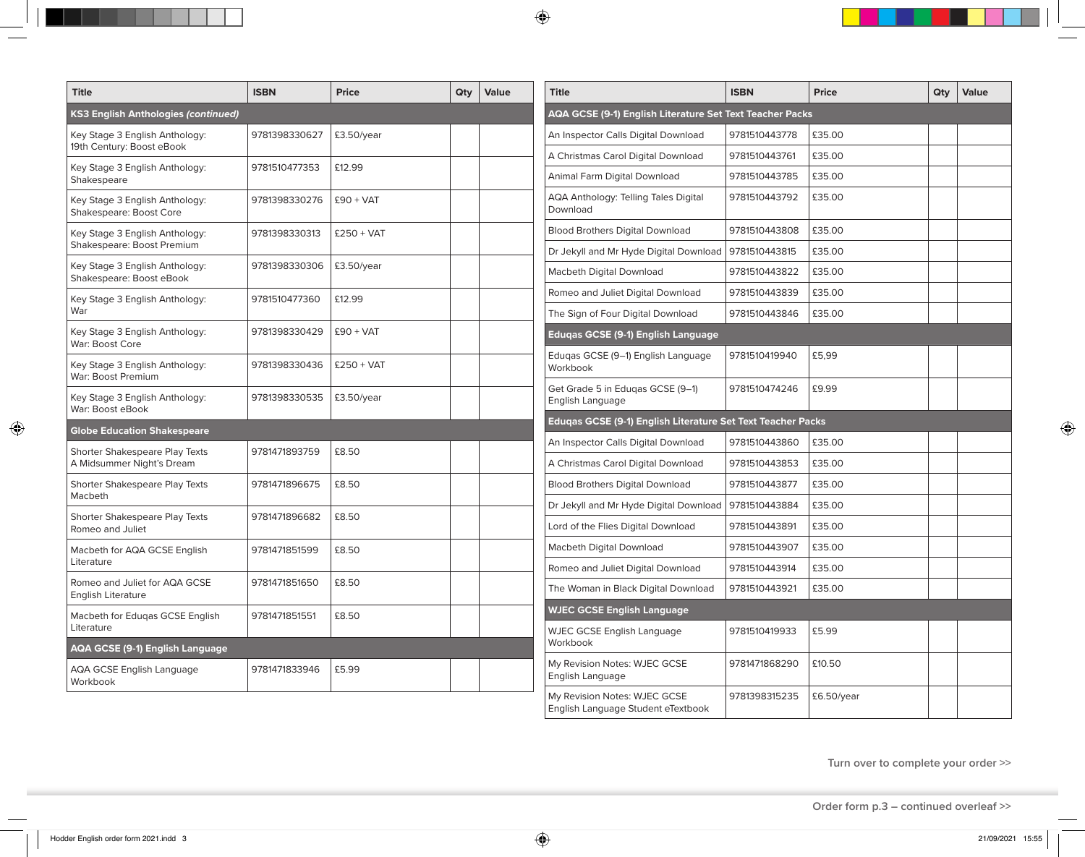| <b>Title</b>                                               | <b>ISBN</b>   | <b>Price</b>  | Qty | Value | <b>Title</b>                                                | <b>ISBN</b>   | <b>Price</b> | Qty | Value |
|------------------------------------------------------------|---------------|---------------|-----|-------|-------------------------------------------------------------|---------------|--------------|-----|-------|
| (S3 English Anthologies (continued)                        |               |               |     |       | AQA GCSE (9-1) English Literature Set Text Teacher Packs    |               |              |     |       |
| Key Stage 3 English Anthology:                             | 9781398330627 | £3.50/year    |     |       | An Inspector Calls Digital Download                         | 9781510443778 | £35.00       |     |       |
| 19th Century: Boost eBook                                  |               |               |     |       | A Christmas Carol Digital Download                          | 9781510443761 | £35.00       |     |       |
| Key Stage 3 English Anthology:<br>Shakespeare              | 9781510477353 | £12.99        |     |       | Animal Farm Digital Download                                | 9781510443785 | £35.00       |     |       |
| Key Stage 3 English Anthology:<br>Shakespeare: Boost Core  | 9781398330276 | $£90 + VAT$   |     |       | AQA Anthology: Telling Tales Digital<br>Download            | 9781510443792 | £35.00       |     |       |
| Key Stage 3 English Anthology:                             | 9781398330313 | $£250 + VAT$  |     |       | <b>Blood Brothers Digital Download</b>                      | 9781510443808 | £35.00       |     |       |
| Shakespeare: Boost Premium                                 |               |               |     |       | Dr Jekyll and Mr Hyde Digital Download                      | 9781510443815 | £35.00       |     |       |
| Key Stage 3 English Anthology:<br>Shakespeare: Boost eBook | 9781398330306 | £3.50/year    |     |       | Macbeth Digital Download                                    | 9781510443822 | £35.00       |     |       |
| Key Stage 3 English Anthology:                             | 9781510477360 | £12.99        |     |       | Romeo and Juliet Digital Download                           | 9781510443839 | £35.00       |     |       |
| War                                                        |               |               |     |       | The Sign of Four Digital Download                           | 9781510443846 | £35.00       |     |       |
| Key Stage 3 English Anthology:<br>War: Boost Core          | 9781398330429 | $£90 + VAT$   |     |       | <b>Eduqas GCSE (9-1) English Language</b>                   |               |              |     |       |
| Key Stage 3 English Anthology:<br>War: Boost Premium       | 9781398330436 | $£250 + VAT$  |     |       | Edugas GCSE (9-1) English Language<br>Workbook              | 9781510419940 | £5,99        |     |       |
| Key Stage 3 English Anthology:<br>War: Boost eBook         | 9781398330535 | $£3.50$ /year |     |       | Get Grade 5 in Edugas GCSE (9-1)<br>English Language        | 9781510474246 | £9.99        |     |       |
| <b>Globe Education Shakespeare</b>                         |               |               |     |       | Edugas GCSE (9-1) English Literature Set Text Teacher Packs |               |              |     |       |
| Shorter Shakespeare Play Texts                             | 9781471893759 | £8.50         |     |       | An Inspector Calls Digital Download                         | 9781510443860 | £35.00       |     |       |
| A Midsummer Night's Dream                                  |               |               |     |       | A Christmas Carol Digital Download                          | 9781510443853 | £35.00       |     |       |
| Shorter Shakespeare Play Texts                             | 9781471896675 | £8.50         |     |       | <b>Blood Brothers Digital Download</b>                      | 9781510443877 | £35.00       |     |       |
| Macbeth                                                    |               |               |     |       | Dr Jekyll and Mr Hyde Digital Download                      | 9781510443884 | £35.00       |     |       |
| Shorter Shakespeare Play Texts<br>Romeo and Juliet         | 9781471896682 | £8.50         |     |       | Lord of the Flies Digital Download                          | 9781510443891 | £35.00       |     |       |
| Macbeth for AQA GCSE English                               | 9781471851599 | £8.50         |     |       | Macbeth Digital Download                                    | 9781510443907 | £35.00       |     |       |
| Literature                                                 |               |               |     |       | Romeo and Juliet Digital Download                           | 9781510443914 | £35.00       |     |       |
| Romeo and Juliet for AQA GCSE<br><b>English Literature</b> | 9781471851650 | £8.50         |     |       | The Woman in Black Digital Download                         | 9781510443921 | £35.00       |     |       |
| Macbeth for Eduqas GCSE English                            | 9781471851551 | £8.50         |     |       | <b>WJEC GCSE English Language</b>                           |               |              |     |       |
| Literature                                                 |               |               |     |       | <b>WJEC GCSE English Language</b><br>Workbook               | 9781510419933 | £5.99        |     |       |
| AQA GCSE (9-1) English Language                            |               |               |     |       | My Revision Notes: WJEC GCSE                                | 9781471868290 | £10.50       |     |       |
| AQA GCSE English Language<br>Workbook                      | 9781471833946 | £5.99         |     |       | English Language                                            |               |              |     |       |
|                                                            |               |               |     |       | My Revision Notes: WJEC GCSE                                | 9781398315235 | £6.50/year   |     |       |

**Turn over to complete your order >>**

**Order form p.3 – continued overleaf >>**

 $\bigcirc$ 

 $\bigoplus$ 

English Language Student eTextbook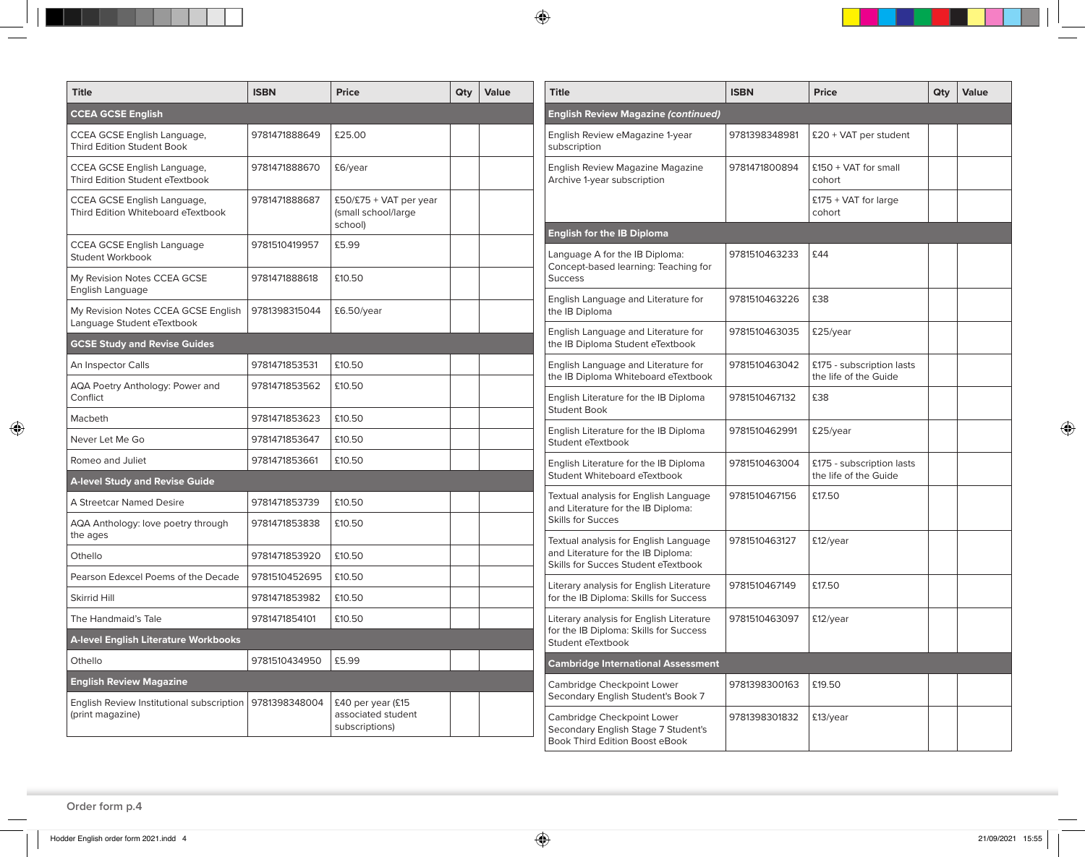$\bigcirc$ 

| <b>Title</b>                                                      | <b>ISBN</b>   | <b>Price</b>                                              | Qty | Value | <b>Title</b>                                                                                                                              | <b>ISBN</b>   | <b>Price</b>                     | Qty | Value |
|-------------------------------------------------------------------|---------------|-----------------------------------------------------------|-----|-------|-------------------------------------------------------------------------------------------------------------------------------------------|---------------|----------------------------------|-----|-------|
| <b>CCEA GCSE English</b>                                          |               |                                                           |     |       | <b>English Review Magazine (continued)</b>                                                                                                |               |                                  |     |       |
| CCEA GCSE English Language,<br><b>Third Edition Student Book</b>  | 9781471888649 | £25.00                                                    |     |       | English Review eMagazine 1-year<br>subscription                                                                                           | 9781398348981 | £20 + VAT per student            |     |       |
| CCEA GCSE English Language,<br>Third Edition Student eTextbook    | 9781471888670 | £6/year                                                   |     |       | English Review Magazine Magazine<br>Archive 1-year subscription                                                                           | 9781471800894 | £150 + VAT for small<br>cohort   |     |       |
| CCEA GCSE English Language,<br>Third Edition Whiteboard eTextbook | 9781471888687 | £50/£75 + VAT per year<br>(small school/large<br>school)  |     |       |                                                                                                                                           |               | $£175 + VAT$ for large<br>cohort |     |       |
| CCEA GCSE English Language<br>Student Workbook                    | 9781510419957 | £5.99                                                     |     |       | <b>English for the IB Diploma</b><br>Language A for the IB Diploma:                                                                       | 9781510463233 | £44                              |     |       |
| My Revision Notes CCEA GCSE<br>English Language                   | 9781471888618 | £10.50                                                    |     |       | Concept-based learning: Teaching for<br><b>Success</b>                                                                                    |               |                                  |     |       |
| My Revision Notes CCEA GCSE English<br>Language Student eTextbook | 9781398315044 | £6.50/year                                                |     |       | English Language and Literature for<br>the IB Diploma                                                                                     | 9781510463226 | £38                              |     |       |
| <b>GCSE Study and Revise Guides</b>                               |               |                                                           |     |       | English Language and Literature for<br>the IB Diploma Student eTextbook                                                                   | 9781510463035 | £25/year                         |     |       |
| An Inspector Calls                                                | 9781471853531 | £10.50                                                    |     |       | English Language and Literature for                                                                                                       | 9781510463042 | £175 - subscription lasts        |     |       |
| AQA Poetry Anthology: Power and<br>Conflict                       | 9781471853562 | £10.50                                                    |     |       | the IB Diploma Whiteboard eTextbook<br>English Literature for the IB Diploma                                                              | 9781510467132 | the life of the Guide<br>£38     |     |       |
| Macbeth                                                           | 9781471853623 | £10.50                                                    |     |       | <b>Student Book</b>                                                                                                                       |               |                                  |     |       |
| Never Let Me Go                                                   | 9781471853647 | £10.50                                                    |     |       | English Literature for the IB Diploma<br>Student eTextbook                                                                                | 9781510462991 | £25/year                         |     |       |
| Romeo and Juliet                                                  | 9781471853661 | £10.50                                                    |     |       | English Literature for the IB Diploma                                                                                                     | 9781510463004 | £175 - subscription lasts        |     |       |
| <b>A-level Study and Revise Guide</b>                             |               |                                                           |     |       | Student Whiteboard eTextbook                                                                                                              |               | the life of the Guide            |     |       |
| A Streetcar Named Desire                                          | 9781471853739 | £10.50                                                    |     |       | Textual analysis for English Language<br>and Literature for the IB Diploma:                                                               | 9781510467156 | £17.50                           |     |       |
| AQA Anthology: love poetry through<br>the ages                    | 9781471853838 | £10.50                                                    |     |       | <b>Skills for Succes</b><br>Textual analysis for English Language                                                                         | 9781510463127 | £12/year                         |     |       |
| Othello                                                           | 9781471853920 | £10.50                                                    |     |       | and Literature for the IB Diploma:<br>Skills for Succes Student eTextbook                                                                 |               |                                  |     |       |
| Pearson Edexcel Poems of the Decade                               | 9781510452695 | £10.50                                                    |     |       |                                                                                                                                           | 9781510467149 | £17.50                           |     |       |
| <b>Skirrid Hill</b>                                               | 9781471853982 | £10.50                                                    |     |       | Literary analysis for English Literature<br>for the IB Diploma: Skills for Success                                                        |               |                                  |     |       |
| The Handmaid's Tale                                               | 9781471854101 | £10.50                                                    |     |       | Literary analysis for English Literature                                                                                                  | 9781510463097 | £12/year                         |     |       |
| <b>A-level English Literature Workbooks</b>                       |               |                                                           |     |       | for the IB Diploma: Skills for Success<br>Student eTextbook                                                                               |               |                                  |     |       |
| Othello                                                           | 9781510434950 | £5.99                                                     |     |       | <b>Cambridge International Assessment</b>                                                                                                 |               |                                  |     |       |
| <b>English Review Magazine</b>                                    |               |                                                           |     |       | Cambridge Checkpoint Lower                                                                                                                | 9781398300163 | £19.50                           |     |       |
| English Review Institutional subscription<br>(print magazine)     | 9781398348004 | £40 per year (£15<br>associated student<br>subscriptions) |     |       | Secondary English Student's Book 7<br>Cambridge Checkpoint Lower<br>Secondary English Stage 7 Student's<br>Book Third Edition Boost eBook | 9781398301832 | £13/year                         |     |       |

**Order form p.4**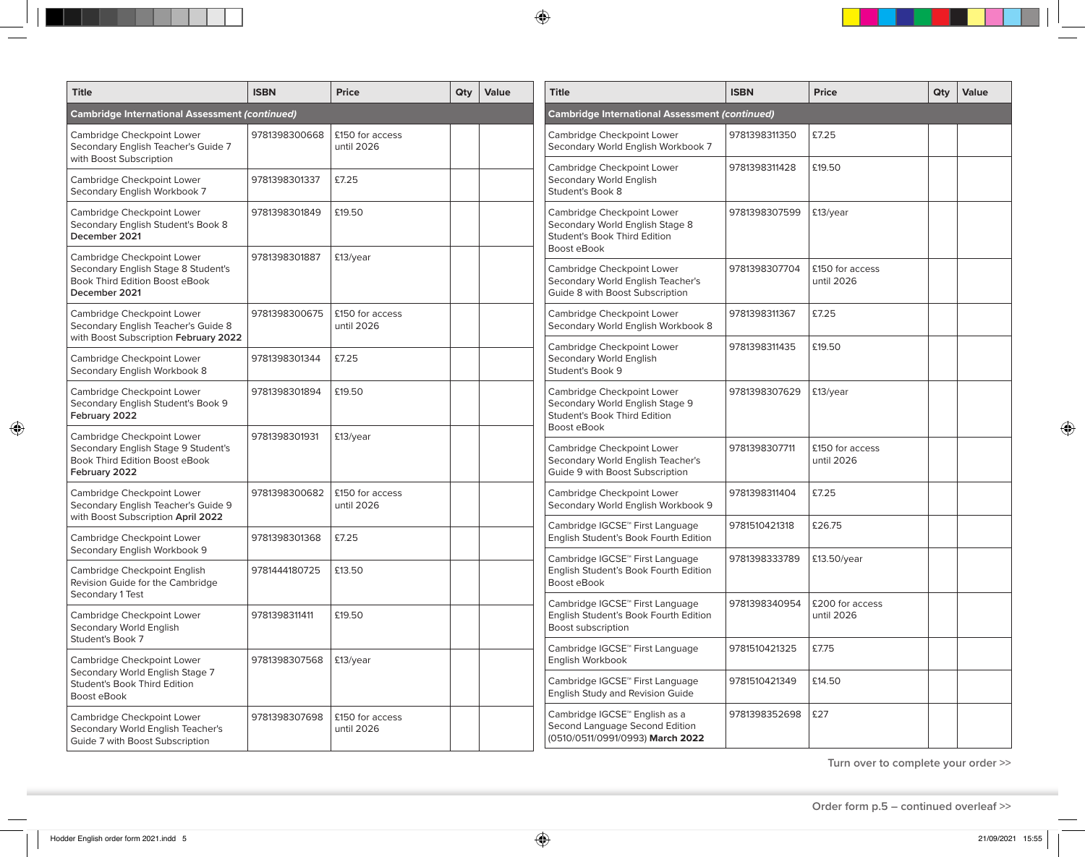| <b>Title</b>                                                                                                         | <b>ISBN</b>   | <b>Price</b>                  | Qty | Value                                               | <b>Title</b>                                                                                                        | <b>ISBN</b>   | <b>Price</b>                  | Qty | Value |
|----------------------------------------------------------------------------------------------------------------------|---------------|-------------------------------|-----|-----------------------------------------------------|---------------------------------------------------------------------------------------------------------------------|---------------|-------------------------------|-----|-------|
| <b>Cambridge International Assessment (continued)</b>                                                                |               |                               |     |                                                     | Cambridge International Assessment (continued)                                                                      |               |                               |     |       |
| Cambridge Checkpoint Lower<br>Secondary English Teacher's Guide 7<br>with Boost Subscription                         | 9781398300668 | £150 for access<br>until 2026 |     |                                                     | Cambridge Checkpoint Lower<br>Secondary World English Workbook 7                                                    | 9781398311350 | £7.25                         |     |       |
| Cambridge Checkpoint Lower<br>Secondary English Workbook 7                                                           | 9781398301337 | £7.25                         |     |                                                     | Cambridge Checkpoint Lower<br>Secondary World English<br>Student's Book 8                                           | 9781398311428 | £19.50                        |     |       |
| Cambridge Checkpoint Lower<br>Secondary English Student's Book 8<br>December 2021                                    | 9781398301849 | £19.50                        |     |                                                     | Cambridge Checkpoint Lower<br>Secondary World English Stage 8<br>Student's Book Third Edition<br>Boost eBook        | 9781398307599 | £13/year                      |     |       |
| Cambridge Checkpoint Lower<br>Secondary English Stage 8 Student's<br>Book Third Edition Boost eBook<br>December 2021 | 9781398301887 | £13/year                      |     |                                                     | Cambridge Checkpoint Lower<br>Secondary World English Teacher's<br>Guide 8 with Boost Subscription                  | 9781398307704 | £150 for access<br>until 2026 |     |       |
| Cambridge Checkpoint Lower<br>Secondary English Teacher's Guide 8<br>with Boost Subscription February 2022           | 9781398300675 | £150 for access<br>until 2026 |     |                                                     | Cambridge Checkpoint Lower<br>Secondary World English Workbook 8                                                    | 9781398311367 | £7.25                         |     |       |
| Cambridge Checkpoint Lower<br>Secondary English Workbook 8                                                           | 9781398301344 | £7.25                         |     |                                                     | Cambridge Checkpoint Lower<br>Secondary World English<br>Student's Book 9                                           | 9781398311435 | £19.50                        |     |       |
| Cambridge Checkpoint Lower<br>Secondary English Student's Book 9<br>February 2022                                    | 9781398301894 | £19.50                        |     |                                                     | Cambridge Checkpoint Lower<br>Secondary World English Stage 9<br><b>Student's Book Third Edition</b><br>Boost eBook | 9781398307629 | £13/year                      |     |       |
| Cambridge Checkpoint Lower<br>Secondary English Stage 9 Student's<br>Book Third Edition Boost eBook<br>February 2022 | 9781398301931 | £13/year                      |     |                                                     | Cambridge Checkpoint Lower<br>Secondary World English Teacher's<br>Guide 9 with Boost Subscription                  | 9781398307711 | £150 for access<br>until 2026 |     |       |
| Cambridge Checkpoint Lower<br>Secondary English Teacher's Guide 9<br>with Boost Subscription April 2022              | 9781398300682 | £150 for access<br>until 2026 |     |                                                     | Cambridge Checkpoint Lower<br>Secondary World English Workbook 9                                                    | 9781398311404 | £7.25                         |     |       |
| Cambridge Checkpoint Lower<br>Secondary English Workbook 9                                                           | 9781398301368 | £7.25                         |     |                                                     | Cambridge IGCSE™ First Language<br>English Student's Book Fourth Edition                                            | 9781510421318 | £26.75                        |     |       |
| Cambridge Checkpoint English<br>Revision Guide for the Cambridge                                                     | 9781444180725 | £13.50                        |     |                                                     | Cambridge IGCSE™ First Language<br>English Student's Book Fourth Edition<br>Boost eBook                             | 9781398333789 | £13.50/year                   |     |       |
| Secondary 1 Test<br>Cambridge Checkpoint Lower<br>Secondary World English                                            | 9781398311411 | £19.50                        |     |                                                     | Cambridge IGCSE™ First Language<br>English Student's Book Fourth Edition<br>Boost subscription                      | 9781398340954 | £200 for access<br>until 2026 |     |       |
| Student's Book 7<br>Cambridge Checkpoint Lower                                                                       | 9781398307568 | £13/year                      |     | Cambridge IGCSE™ First Language<br>English Workbook | 9781510421325                                                                                                       | £7.75         |                               |     |       |
| Secondary World English Stage 7<br>Student's Book Third Edition<br>Boost eBook                                       |               |                               |     |                                                     | Cambridge IGCSE™ First Language<br>English Study and Revision Guide                                                 | 9781510421349 | £14.50                        |     |       |
| Cambridge Checkpoint Lower<br>Secondary World English Teacher's<br>Guide 7 with Boost Subscription                   | 9781398307698 | £150 for access<br>until 2026 |     |                                                     | Cambridge IGCSE™ English as a<br>Second Language Second Edition<br>(0510/0511/0991/0993) March 2022                 | 9781398352698 | £27                           |     |       |

**Turn over to complete your order >>**

**Order form p.5 – continued overleaf >>**

 $\bigcirc$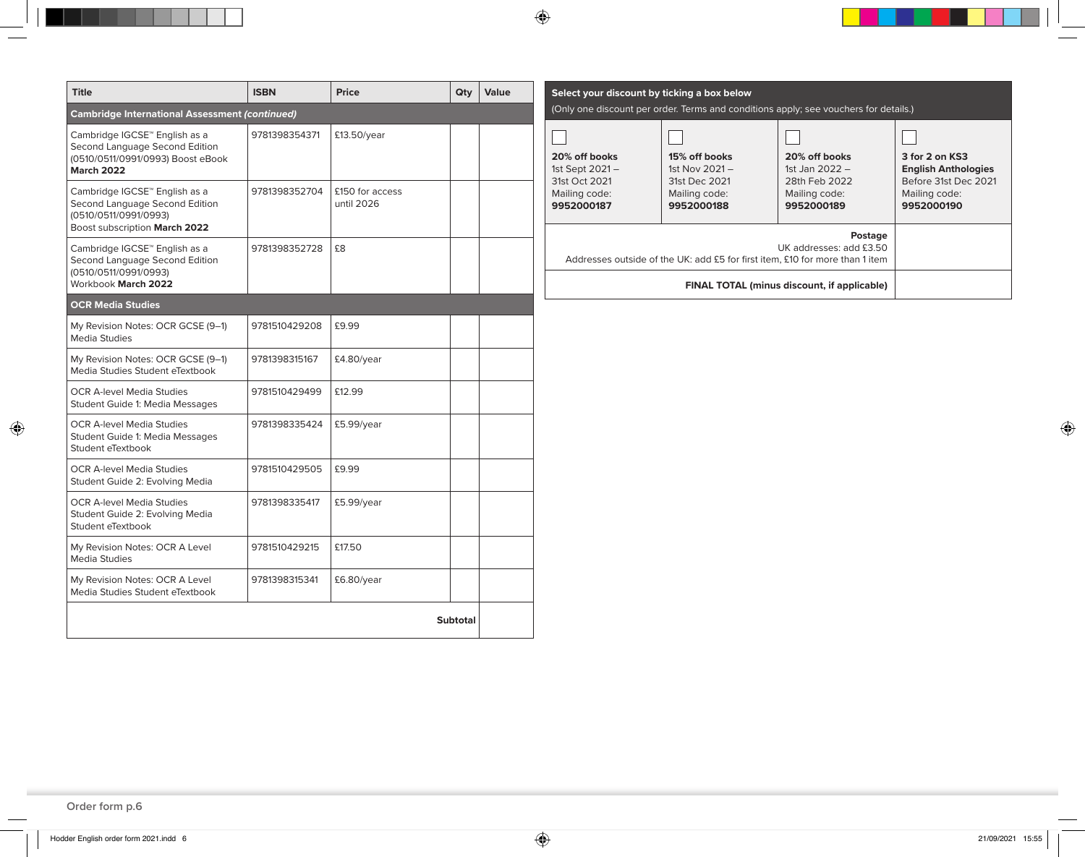| <b>Title</b>                                                                                                              | <b>ISBN</b>   | <b>Price</b>                  | Qty | Value |                                                                              | Select your discount by ticking a box below     |                                                                                      |                                                                      |
|---------------------------------------------------------------------------------------------------------------------------|---------------|-------------------------------|-----|-------|------------------------------------------------------------------------------|-------------------------------------------------|--------------------------------------------------------------------------------------|----------------------------------------------------------------------|
| <b>Cambridge International Assessment (continued)</b>                                                                     |               |                               |     |       |                                                                              |                                                 | (Only one discount per order. Terms and conditions apply; see vouchers for details.) |                                                                      |
| Cambridge IGCSE™ English as a<br>Second Language Second Edition<br>(0510/0511/0991/0993) Boost eBook<br><b>March 2022</b> | 9781398354371 | £13.50/year                   |     |       | 20% off books<br>1st Sept 2021-<br>31st Oct 2021                             | 15% off books<br>1st Nov 2021-<br>31st Dec 2021 | 20% off books<br>1st Jan 2022 -<br>28th Feb 2022                                     | 3 for 2 on KS3<br><b>English Anthologies</b><br>Before 31st Dec 2021 |
| Cambridge IGCSE™ English as a<br>Second Language Second Edition<br>(0510/0511/0991/0993)<br>Boost subscription March 2022 | 9781398352704 | £150 for access<br>until 2026 |     |       | Mailing code:<br>9952000187                                                  | Mailing code:<br>9952000188                     | Mailing code:<br>9952000189                                                          | Mailing code:<br>9952000190                                          |
| Cambridge IGCSE™ English as a<br>Second Language Second Edition<br>(0510/0511/0991/0993)                                  | 9781398352728 | £8                            |     |       | Addresses outside of the UK: add £5 for first item, £10 for more than 1 item |                                                 |                                                                                      |                                                                      |
| Workbook March 2022                                                                                                       |               |                               |     |       |                                                                              |                                                 |                                                                                      |                                                                      |
| <b>OCR Media Studies</b>                                                                                                  |               |                               |     |       |                                                                              |                                                 |                                                                                      |                                                                      |
| My Revision Notes: OCR GCSE (9-1)<br><b>Media Studies</b>                                                                 | 9781510429208 | £9.99                         |     |       |                                                                              |                                                 |                                                                                      |                                                                      |
| My Revision Notes: OCR GCSE (9-1)<br>Media Studies Student eTextbook                                                      | 9781398315167 | £4.80/year                    |     |       |                                                                              |                                                 |                                                                                      |                                                                      |
| <b>OCR A-level Media Studies</b><br>Student Guide 1: Media Messages                                                       | 9781510429499 | £12.99                        |     |       |                                                                              |                                                 |                                                                                      |                                                                      |
| <b>OCR A-level Media Studies</b><br>Student Guide 1: Media Messages<br>Student eTextbook                                  | 9781398335424 | £5.99/year                    |     |       |                                                                              |                                                 |                                                                                      |                                                                      |
| <b>OCR A-level Media Studies</b><br>Student Guide 2: Evolving Media                                                       | 9781510429505 | £9.99                         |     |       |                                                                              |                                                 |                                                                                      |                                                                      |
| <b>OCR A-level Media Studies</b><br>Student Guide 2: Evolving Media<br>Student eTextbook                                  | 9781398335417 | £5.99/year                    |     |       |                                                                              |                                                 |                                                                                      |                                                                      |
| My Revision Notes: OCR A Level<br><b>Media Studies</b>                                                                    | 9781510429215 | £17.50                        |     |       |                                                                              |                                                 |                                                                                      |                                                                      |
| My Revision Notes: OCR A Level<br>Media Studies Student eTextbook                                                         | 9781398315341 | £6.80/year                    |     |       |                                                                              |                                                 |                                                                                      |                                                                      |

 $\bigcirc$ 

**Order form p.6**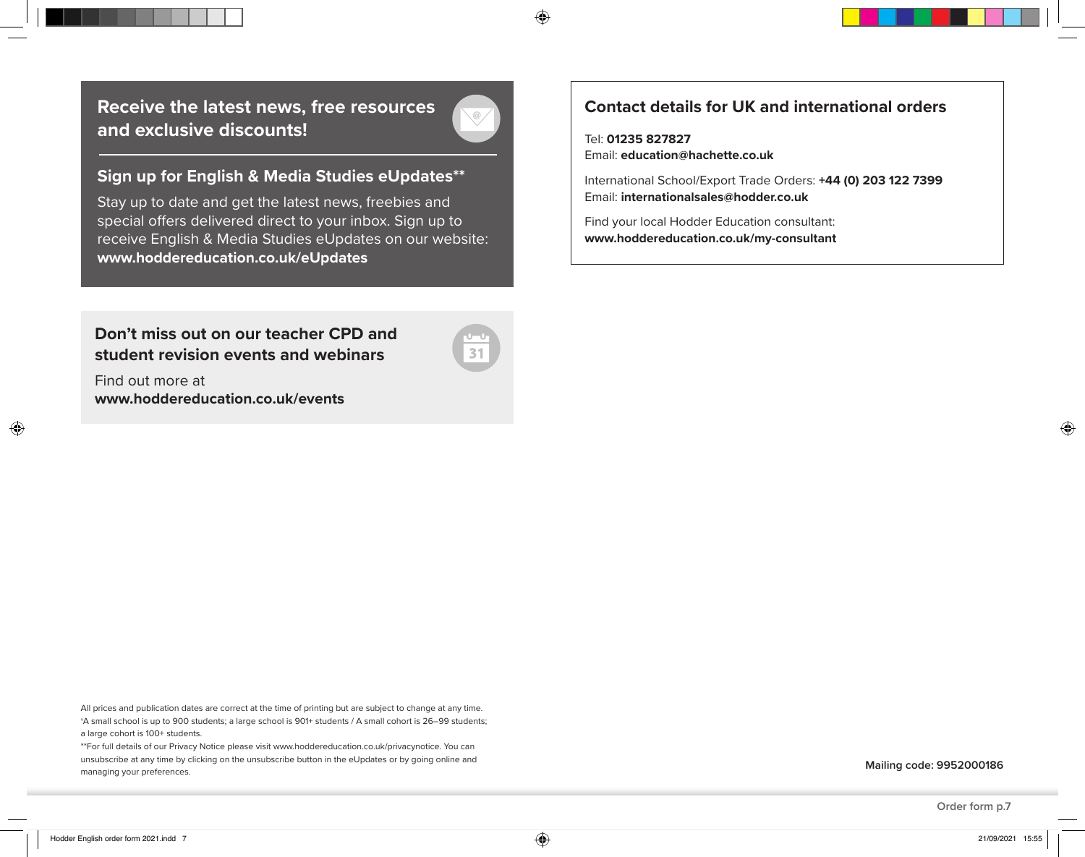**Receive the latest news, free resources and exclusive discounts!**



⊕

### **Sign up for English & Media Studies eUpdates\*\***

Stay up to date and get the latest news, freebies and special offers delivered direct to your inbox. Sign up to receive English & Media Studies eUpdates on our website: **www.hoddereducation.co.uk/eUpdates**

**Don't miss out on our teacher CPD and student revision events and webinars**

Find out more at **www.hoddereducation.co.uk/events**

All prices and publication dates are correct at the time of printing but are subject to change at any time. †A small school is up to 900 students; a large school is 901+ students / A small cohort is 26–99 students;

a large cohort is 100+ students.

\*\*For full details of our Privacy Notice please visit www.hoddereducation.co.uk/privacynotice. You can unsubscribe at any time by clicking on the unsubscribe button in the eUpdates or by going online and managing your preferences.

## **Contact details for UK and international orders**

Tel: **01235 827827**

Email: **education@hachette.co.uk**

International School/Export Trade Orders: **+44 (0) 203 122 7399**  Email: **internationalsales@hodder.co.uk**

Find your local Hodder Education consultant: **www.hoddereducation.co.uk/my-consultant**

**Order form p.7**

◈

◈